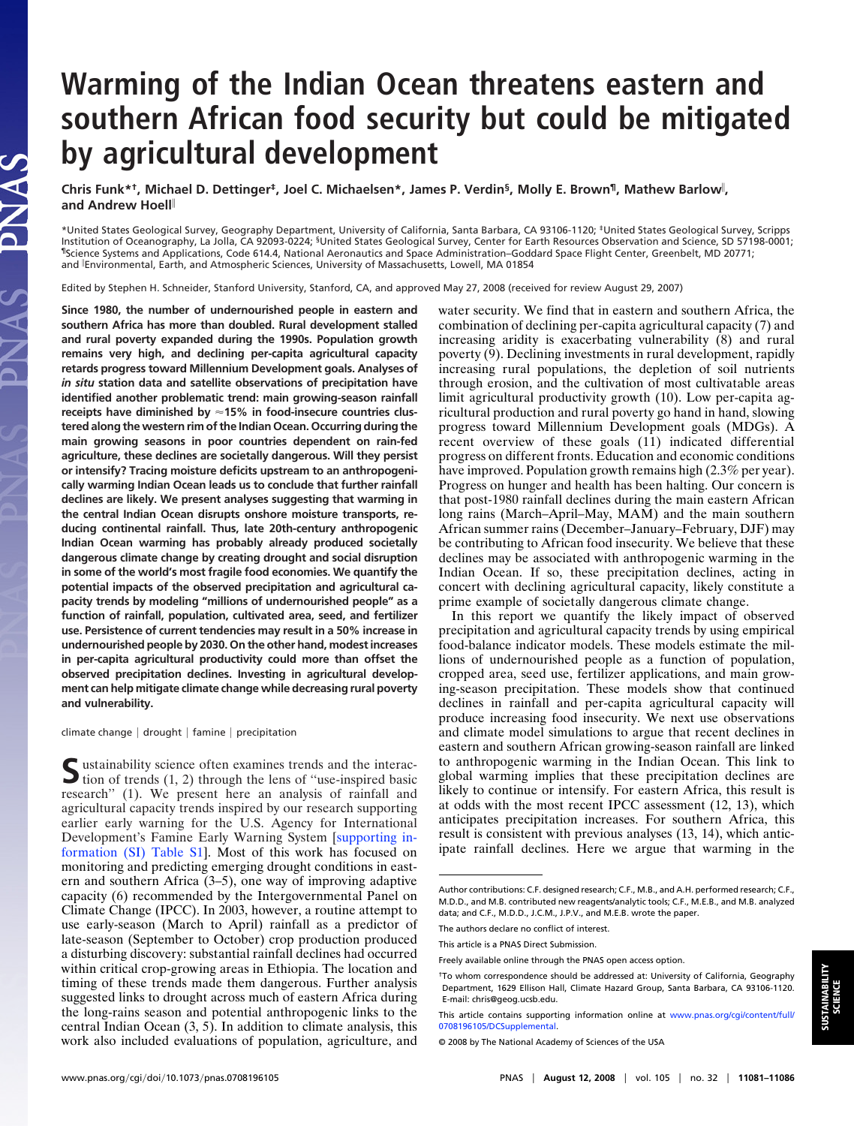# **Warming of the Indian Ocean threatens eastern and southern African food security but could be mitigated by agricultural development**

**Chris Funk\*†, Michael D. Dettinger‡, Joel C. Michaelsen\*, James P. Verdin§, Molly E. Brown¶, Mathew Barlow**! **, and Andrew Hoell**!

\*United States Geological Survey, Geography Department, University of California, Santa Barbara, CA 93106-1120; ‡United States Geological Survey, Scripps Institution of Oceanography, La Jolla, CA 92093-0224; §United States Geological Survey, Center for Earth Resources Observation and Science, SD 57198-0001; ¶Science Systems and Applications, Code 614.4, National Aeronautics and Space Administration–Goddard Space Flight Center, Greenbelt, MD 20771; and <sup>||</sup>Environmental, Earth, and Atmospheric Sciences, University of Massachusetts, Lowell, MA 01854

Edited by Stephen H. Schneider, Stanford University, Stanford, CA, and approved May 27, 2008 (received for review August 29, 2007)

**Since 1980, the number of undernourished people in eastern and southern Africa has more than doubled. Rural development stalled and rural poverty expanded during the 1990s. Population growth remains very high, and declining per-capita agricultural capacity retards progress toward Millennium Development goals. Analyses of** *in situ* **station data and satellite observations of precipitation have identified another problematic trend: main growing-season rainfall receipts have diminished by** !**15% in food-insecure countries clustered along the western rim of the Indian Ocean. Occurring during the main growing seasons in poor countries dependent on rain-fed agriculture, these declines are societally dangerous. Will they persist or intensify? Tracing moisture deficits upstream to an anthropogenically warming Indian Ocean leads us to conclude that further rainfall declines are likely. We present analyses suggesting that warming in the central Indian Ocean disrupts onshore moisture transports, reducing continental rainfall. Thus, late 20th-century anthropogenic Indian Ocean warming has probably already produced societally dangerous climate change by creating drought and social disruption in some of the world's most fragile food economies. We quantify the potential impacts of the observed precipitation and agricultural capacity trends by modeling "millions of undernourished people" as a function of rainfall, population, cultivated area, seed, and fertilizer use. Persistence of current tendencies may result in a 50% increase in undernourished people by 2030. On the other hand, modest increases in per-capita agricultural productivity could more than offset the observed precipitation declines. Investing in agricultural development can help mitigate climate change while decreasing rural poverty and vulnerability.**

 $climate channel | drouqht | familine | precision$ 

Sustainability science often examines trends and the interaction of trends (1, 2) through the lens of "use-inspired basic research'' (1). We present here an analysis of rainfall and agricultural capacity trends inspired by our research supporting earlier early warning for the U.S. Agency for International Development's Famine Early Warning System [\[supporting in](http://www.pnas.org/cgi/data/0708196105/DCSupplemental/Supplemental_PDF#nameddest=ST1)[formation \(SI\) Table S1\]](http://www.pnas.org/cgi/data/0708196105/DCSupplemental/Supplemental_PDF#nameddest=ST1). Most of this work has focused on monitoring and predicting emerging drought conditions in eastern and southern Africa (3–5), one way of improving adaptive capacity (6) recommended by the Intergovernmental Panel on Climate Change (IPCC). In 2003, however, a routine attempt to use early-season (March to April) rainfall as a predictor of late-season (September to October) crop production produced a disturbing discovery: substantial rainfall declines had occurred within critical crop-growing areas in Ethiopia. The location and timing of these trends made them dangerous. Further analysis suggested links to drought across much of eastern Africa during the long-rains season and potential anthropogenic links to the central Indian Ocean (3, 5). In addition to climate analysis, this work also included evaluations of population, agriculture, and

water security. We find that in eastern and southern Africa, the combination of declining per-capita agricultural capacity (7) and increasing aridity is exacerbating vulnerability (8) and rural poverty (9). Declining investments in rural development, rapidly increasing rural populations, the depletion of soil nutrients through erosion, and the cultivation of most cultivatable areas limit agricultural productivity growth (10). Low per-capita agricultural production and rural poverty go hand in hand, slowing progress toward Millennium Development goals (MDGs). A recent overview of these goals (11) indicated differential progress on different fronts. Education and economic conditions have improved. Population growth remains high (2.3% per year). Progress on hunger and health has been halting. Our concern is that post-1980 rainfall declines during the main eastern African long rains (March–April–May, MAM) and the main southern African summer rains (December–January–February, DJF) may be contributing to African food insecurity. We believe that these declines may be associated with anthropogenic warming in the Indian Ocean. If so, these precipitation declines, acting in concert with declining agricultural capacity, likely constitute a prime example of societally dangerous climate change.

In this report we quantify the likely impact of observed precipitation and agricultural capacity trends by using empirical food-balance indicator models. These models estimate the millions of undernourished people as a function of population, cropped area, seed use, fertilizer applications, and main growing-season precipitation. These models show that continued declines in rainfall and per-capita agricultural capacity will produce increasing food insecurity. We next use observations and climate model simulations to argue that recent declines in eastern and southern African growing-season rainfall are linked to anthropogenic warming in the Indian Ocean. This link to global warming implies that these precipitation declines are likely to continue or intensify. For eastern Africa, this result is at odds with the most recent IPCC assessment (12, 13), which anticipates precipitation increases. For southern Africa, this result is consistent with previous analyses (13, 14), which anticipate rainfall declines. Here we argue that warming in the

The authors declare no conflict of interest.

Author contributions: C.F. designed research; C.F., M.B., and A.H. performed research; C.F., M.D.D., and M.B. contributed new reagents/analytic tools; C.F., M.E.B., and M.B. analyzed data; and C.F., M.D.D., J.C.M., J.P.V., and M.E.B. wrote the paper.

This article is a PNAS Direct Submission.

Freely available online through the PNAS open access option.

<sup>†</sup>To whom correspondence should be addressed at: University of California, Geography Department, 1629 Ellison Hall, Climate Hazard Group, Santa Barbara, CA 93106-1120. E-mail: chris@geog.ucsb.edu.

This article contains supporting information online at [www.pnas.org/cgi/content/full/](http://www.pnas.org/cgi/content/full/0708196105/DCSupplemental) [0708196105/DCSupplemental.](http://www.pnas.org/cgi/content/full/0708196105/DCSupplemental)

<sup>© 2008</sup> by The National Academy of Sciences of the USA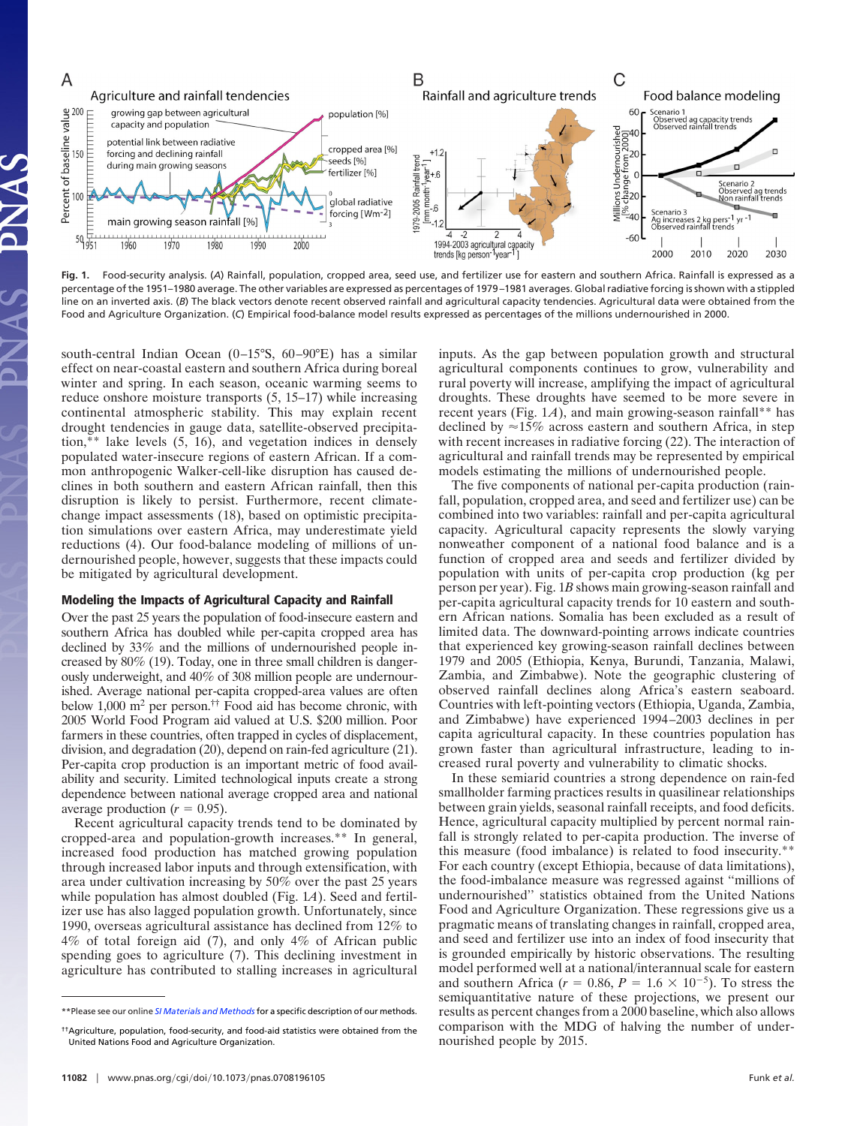

**Fig. 1.** Food-security analysis. (*A*) Rainfall, population, cropped area, seed use, and fertilizer use for eastern and southern Africa. Rainfall is expressed as a percentage of the 1951–1980 average. The other variables are expressed as percentages of 1979 –1981 averages. Global radiative forcing is shown with a stippled line on an inverted axis. (B) The black vectors denote recent observed rainfall and agricultural capacity tendencies. Agricultural data were obtained from the Food and Agriculture Organization. (*C*) Empirical food-balance model results expressed as percentages of the millions undernourished in 2000.

south-central Indian Ocean (0–15°S, 60–90°E) has a similar effect on near-coastal eastern and southern Africa during boreal winter and spring. In each season, oceanic warming seems to reduce onshore moisture transports (5, 15–17) while increasing continental atmospheric stability. This may explain recent drought tendencies in gauge data, satellite-observed precipitation,\*\* lake levels (5, 16), and vegetation indices in densely populated water-insecure regions of eastern African. If a common anthropogenic Walker-cell-like disruption has caused declines in both southern and eastern African rainfall, then this disruption is likely to persist. Furthermore, recent climatechange impact assessments (18), based on optimistic precipitation simulations over eastern Africa, may underestimate yield reductions (4). Our food-balance modeling of millions of undernourished people, however, suggests that these impacts could be mitigated by agricultural development.

## Modeling the Impacts of Agricultural Capacity and Rainfall

Over the past 25 years the population of food-insecure eastern and southern Africa has doubled while per-capita cropped area has declined by 33% and the millions of undernourished people increased by 80% (19). Today, one in three small children is dangerously underweight, and 40% of 308 million people are undernourished. Average national per-capita cropped-area values are often below 1,000 m<sup>2</sup> per person.<sup>††</sup> Food aid has become chronic, with 2005 World Food Program aid valued at U.S. \$200 million. Poor farmers in these countries, often trapped in cycles of displacement, division, and degradation (20), depend on rain-fed agriculture (21). Per-capita crop production is an important metric of food availability and security. Limited technological inputs create a strong dependence between national average cropped area and national average production  $(r = 0.95)$ .

Recent agricultural capacity trends tend to be dominated by cropped-area and population-growth increases.\*\* In general, increased food production has matched growing population through increased labor inputs and through extensification, with area under cultivation increasing by 50% over the past 25 years while population has almost doubled (Fig. 1*A*). Seed and fertilizer use has also lagged population growth. Unfortunately, since 1990, overseas agricultural assistance has declined from 12% to 4% of total foreign aid (7), and only 4% of African public spending goes to agriculture (7). This declining investment in agriculture has contributed to stalling increases in agricultural

inputs. As the gap between population growth and structural agricultural components continues to grow, vulnerability and rural poverty will increase, amplifying the impact of agricultural droughts. These droughts have seemed to be more severe in recent years (Fig. 1*A*), and main growing-season rainfall\*\* has declined by  $\approx 15\%$  across eastern and southern Africa, in step with recent increases in radiative forcing  $(22)$ . The interaction of agricultural and rainfall trends may be represented by empirical models estimating the millions of undernourished people.

The five components of national per-capita production (rainfall, population, cropped area, and seed and fertilizer use) can be combined into two variables: rainfall and per-capita agricultural capacity. Agricultural capacity represents the slowly varying nonweather component of a national food balance and is a function of cropped area and seeds and fertilizer divided by population with units of per-capita crop production (kg per person per year). Fig. 1*B* shows main growing-season rainfall and per-capita agricultural capacity trends for 10 eastern and southern African nations. Somalia has been excluded as a result of limited data. The downward-pointing arrows indicate countries that experienced key growing-season rainfall declines between 1979 and 2005 (Ethiopia, Kenya, Burundi, Tanzania, Malawi, Zambia, and Zimbabwe). Note the geographic clustering of observed rainfall declines along Africa's eastern seaboard. Countries with left-pointing vectors (Ethiopia, Uganda, Zambia, and Zimbabwe) have experienced 1994–2003 declines in per capita agricultural capacity. In these countries population has grown faster than agricultural infrastructure, leading to increased rural poverty and vulnerability to climatic shocks.

In these semiarid countries a strong dependence on rain-fed smallholder farming practices results in quasilinear relationships between grain yields, seasonal rainfall receipts, and food deficits. Hence, agricultural capacity multiplied by percent normal rainfall is strongly related to per-capita production. The inverse of this measure (food imbalance) is related to food insecurity.\*\* For each country (except Ethiopia, because of data limitations), the food-imbalance measure was regressed against ''millions of undernourished'' statistics obtained from the United Nations Food and Agriculture Organization. These regressions give us a pragmatic means of translating changes in rainfall, cropped area, and seed and fertilizer use into an index of food insecurity that is grounded empirically by historic observations. The resulting model performed well at a national/interannual scale for eastern and southern Africa ( $r = 0.86$ ,  $P = 1.6 \times 10^{-5}$ ). To stress the semiquantitative nature of these projections, we present our results as percent changes from a 2000 baseline, which also allows comparison with the MDG of halving the number of undernourished people by 2015.

<sup>\*\*</sup>Please see our online *[SI Materials and Methods](http://www.pnas.org/cgi/data/0708196105/DCSupplemental/Supplemental_PDF#nameddest=STXT)* for a specific description of our methods.

<sup>††</sup>Agriculture, population, food-security, and food-aid statistics were obtained from the United Nations Food and Agriculture Organization.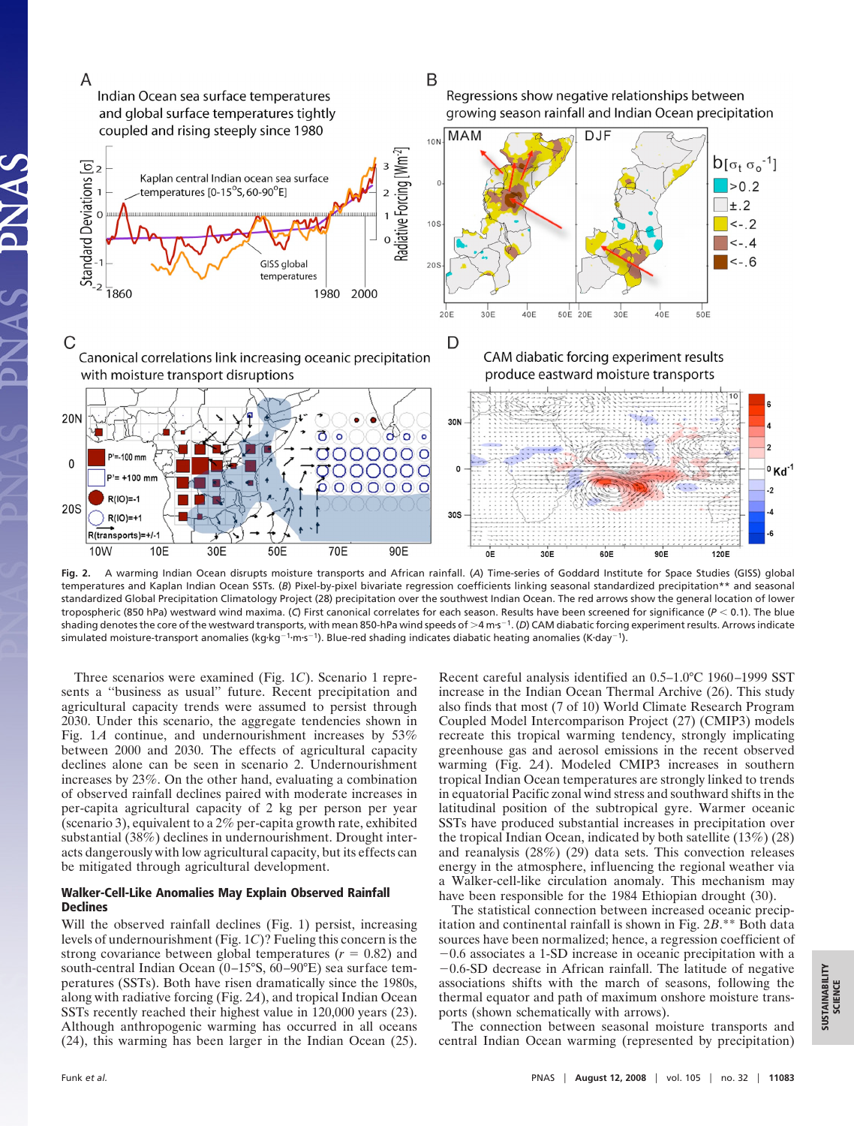

**Fig. 2.** A warming Indian Ocean disrupts moisture transports and African rainfall. (*A*) Time-series of Goddard Institute for Space Studies (GISS) global temperatures and Kaplan Indian Ocean SSTs. (*B*) Pixel-by-pixel bivariate regression coefficients linking seasonal standardized precipitation\*\* and seasonal standardized Global Precipitation Climatology Project (28) precipitation over the southwest Indian Ocean. The red arrows show the general location of lower tropospheric (850 hPa) westward wind maxima. (C) First canonical correlates for each season. Results have been screened for significance ( $P < 0.1$ ). The blue shading denotes the core of the westward transports, with mean 850-hPa wind speeds of >4 m·s<sup>-1</sup>. (D) CAM diabatic forcing experiment results. Arrows indicate simulated moisture-transport anomalies (kg·kg<sup>-1</sup>·m·s<sup>-1</sup>). Blue-red shading indicates diabatic heating anomalies (K·day<sup>-1</sup>).

Three scenarios were examined (Fig. 1*C*). Scenario 1 represents a ''business as usual'' future. Recent precipitation and agricultural capacity trends were assumed to persist through 2030. Under this scenario, the aggregate tendencies shown in Fig. 1*A* continue, and undernourishment increases by 53% between 2000 and 2030. The effects of agricultural capacity declines alone can be seen in scenario 2. Undernourishment increases by 23%. On the other hand, evaluating a combination of observed rainfall declines paired with moderate increases in per-capita agricultural capacity of 2 kg per person per year (scenario 3), equivalent to a 2% per-capita growth rate, exhibited substantial (38%) declines in undernourishment. Drought interacts dangerously with low agricultural capacity, but its effects can be mitigated through agricultural development.

## Walker-Cell-Like Anomalies May Explain Observed Rainfall **Declines**

Will the observed rainfall declines (Fig. 1) persist, increasing levels of undernourishment (Fig. 1*C*)? Fueling this concern is the strong covariance between global temperatures  $(r = 0.82)$  and south-central Indian Ocean (0–15°S, 60–90°E) sea surface temperatures (SSTs). Both have risen dramatically since the 1980s, along with radiative forcing (Fig. 2*A*), and tropical Indian Ocean SSTs recently reached their highest value in 120,000 years (23). Although anthropogenic warming has occurred in all oceans (24), this warming has been larger in the Indian Ocean (25).

Recent careful analysis identified an 0.5–1.0°C 1960–1999 SST increase in the Indian Ocean Thermal Archive (26). This study also finds that most (7 of 10) World Climate Research Program Coupled Model Intercomparison Project (27) (CMIP3) models recreate this tropical warming tendency, strongly implicating greenhouse gas and aerosol emissions in the recent observed warming (Fig. 2*A*). Modeled CMIP3 increases in southern tropical Indian Ocean temperatures are strongly linked to trends in equatorial Pacific zonal wind stress and southward shifts in the latitudinal position of the subtropical gyre. Warmer oceanic SSTs have produced substantial increases in precipitation over the tropical Indian Ocean, indicated by both satellite (13%) (28) and reanalysis (28%) (29) data sets. This convection releases energy in the atmosphere, influencing the regional weather via a Walker-cell-like circulation anomaly. This mechanism may have been responsible for the 1984 Ethiopian drought (30).

The statistical connection between increased oceanic precipitation and continental rainfall is shown in Fig. 2*B*.\*\* Both data sources have been normalized; hence, a regression coefficient of  $-0.6$  associates a 1-SD increase in oceanic precipitation with a  $-0.6$ -SD decrease in African rainfall. The latitude of negative associations shifts with the march of seasons, following the thermal equator and path of maximum onshore moisture transports (shown schematically with arrows).

The connection between seasonal moisture transports and central Indian Ocean warming (represented by precipitation)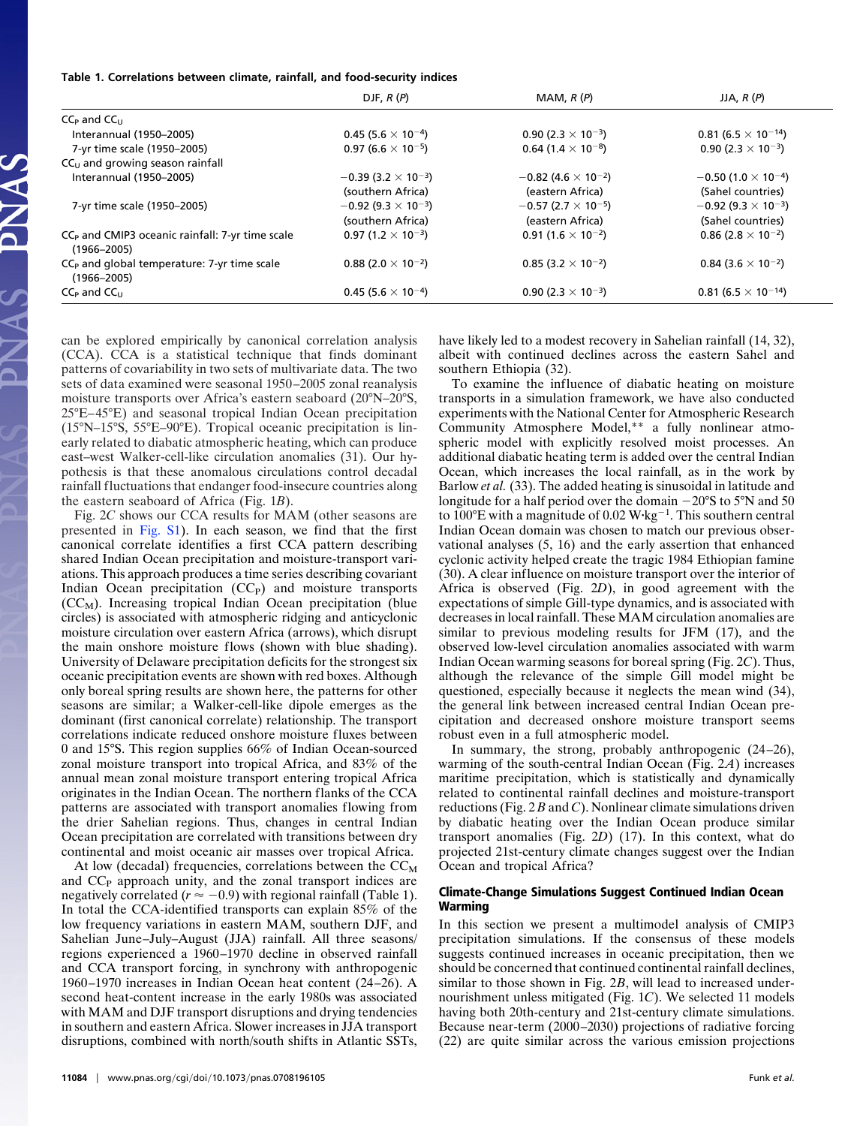#### **Table 1. Correlations between climate, rainfall, and food-security indices**

|                                                                                | $D$ JF, $R(P)$              | MAM, R(P)                                | JJA, R(P)                                |
|--------------------------------------------------------------------------------|-----------------------------|------------------------------------------|------------------------------------------|
| $CC_P$ and $CC_U$                                                              |                             |                                          |                                          |
| Interannual (1950-2005)                                                        | $0.45(5.6 \times 10^{-4})$  | $0.90(2.3 \times 10^{-3})$               | $0.81(6.5 \times 10^{-14})$              |
| 7-yr time scale (1950-2005)                                                    | $0.97(6.6 \times 10^{-5})$  | $0.64(1.4 \times 10^{-8})$               | $0.90(2.3 \times 10^{-3})$               |
| CC <sub>U</sub> and growing season rainfall                                    |                             |                                          |                                          |
| Interannual (1950-2005)                                                        | $-0.39(3.2 \times 10^{-3})$ | $-0.82$ (4.6 $\times$ 10 <sup>-2</sup> ) | $-0.50$ (1.0 $\times$ 10 <sup>-4</sup> ) |
|                                                                                | (southern Africa)           | (eastern Africa)                         | (Sahel countries)                        |
| 7-yr time scale (1950-2005)                                                    | $-0.92(9.3 \times 10^{-3})$ | $-0.57(2.7\times 10^{-5})$               | $-0.92(9.3 \times 10^{-3})$              |
|                                                                                | (southern Africa)           | (eastern Africa)                         | (Sahel countries)                        |
| CC <sub>p</sub> and CMIP3 oceanic rainfall: 7-yr time scale<br>$(1966 - 2005)$ | $0.97(1.2 \times 10^{-3})$  | $0.91(1.6 \times 10^{-2})$               | $0.86(2.8\times10^{-2})$                 |
| $CC_{P}$ and global temperature: $7$ -yr time scale<br>$(1966 - 2005)$         | $0.88(2.0 \times 10^{-2})$  | $0.85(3.2 \times 10^{-2})$               | $0.84(3.6\times10^{-2})$                 |
| $CC_P$ and $CC_U$                                                              | $0.45(5.6 \times 10^{-4})$  | $0.90(2.3 \times 10^{-3})$               | $0.81(6.5\times10^{-14})$                |

can be explored empirically by canonical correlation analysis (CCA). CCA is a statistical technique that finds dominant patterns of covariability in two sets of multivariate data. The two sets of data examined were seasonal 1950–2005 zonal reanalysis moisture transports over Africa's eastern seaboard (20°N–20°S, 25°E–45°E) and seasonal tropical Indian Ocean precipitation (15°N–15°S, 55°E–90°E). Tropical oceanic precipitation is linearly related to diabatic atmospheric heating, which can produce east–west Walker-cell-like circulation anomalies (31). Our hypothesis is that these anomalous circulations control decadal rainfall fluctuations that endanger food-insecure countries along the eastern seaboard of Africa (Fig. 1*B*).

Fig. 2*C* shows our CCA results for MAM (other seasons are presented in [Fig. S1\)](http://www.pnas.org/cgi/data/0708196105/DCSupplemental/Supplemental_PDF#nameddest=SF1). In each season, we find that the first canonical correlate identifies a first CCA pattern describing shared Indian Ocean precipitation and moisture-transport variations. This approach produces a time series describing covariant Indian Ocean precipitation  $(CC_P)$  and moisture transports  $(CC<sub>M</sub>)$ . Increasing tropical Indian Ocean precipitation (blue circles) is associated with atmospheric ridging and anticyclonic moisture circulation over eastern Africa (arrows), which disrupt the main onshore moisture flows (shown with blue shading). University of Delaware precipitation deficits for the strongest six oceanic precipitation events are shown with red boxes. Although only boreal spring results are shown here, the patterns for other seasons are similar; a Walker-cell-like dipole emerges as the dominant (first canonical correlate) relationship. The transport correlations indicate reduced onshore moisture fluxes between 0 and 15°S. This region supplies 66% of Indian Ocean-sourced zonal moisture transport into tropical Africa, and 83% of the annual mean zonal moisture transport entering tropical Africa originates in the Indian Ocean. The northern flanks of the CCA patterns are associated with transport anomalies flowing from the drier Sahelian regions. Thus, changes in central Indian Ocean precipitation are correlated with transitions between dry continental and moist oceanic air masses over tropical Africa.

At low (decadal) frequencies, correlations between the  $CC_M$ and CC<sub>P</sub> approach unity, and the zonal transport indices are negatively correlated ( $r \approx -0.9$ ) with regional rainfall (Table 1). In total the CCA-identified transports can explain 85% of the low frequency variations in eastern MAM, southern DJF, and Sahelian June–July–August (JJA) rainfall. All three seasons/ regions experienced a 1960–1970 decline in observed rainfall and CCA transport forcing, in synchrony with anthropogenic 1960–1970 increases in Indian Ocean heat content (24–26). A second heat-content increase in the early 1980s was associated with MAM and DJF transport disruptions and drying tendencies in southern and eastern Africa. Slower increases in JJA transport disruptions, combined with north/south shifts in Atlantic SSTs, have likely led to a modest recovery in Sahelian rainfall (14, 32), albeit with continued declines across the eastern Sahel and southern Ethiopia (32).

To examine the influence of diabatic heating on moisture transports in a simulation framework, we have also conducted experiments with the National Center for Atmospheric Research Community Atmosphere Model,\*\* a fully nonlinear atmospheric model with explicitly resolved moist processes. An additional diabatic heating term is added over the central Indian Ocean, which increases the local rainfall, as in the work by Barlow *et al.* (33). The added heating is sinusoidal in latitude and longitude for a half period over the domain  $-20^{\circ}$ S to 5°N and 50 to  $100^{\circ}$ E with a magnitude of 0.02 W·kg<sup>-1</sup>. This southern central Indian Ocean domain was chosen to match our previous observational analyses (5, 16) and the early assertion that enhanced cyclonic activity helped create the tragic 1984 Ethiopian famine (30). A clear influence on moisture transport over the interior of Africa is observed (Fig. 2*D*), in good agreement with the expectations of simple Gill-type dynamics, and is associated with decreases in local rainfall. These MAM circulation anomalies are similar to previous modeling results for JFM (17), and the observed low-level circulation anomalies associated with warm Indian Ocean warming seasons for boreal spring (Fig. 2*C*). Thus, although the relevance of the simple Gill model might be questioned, especially because it neglects the mean wind (34), the general link between increased central Indian Ocean precipitation and decreased onshore moisture transport seems robust even in a full atmospheric model.

In summary, the strong, probably anthropogenic (24–26), warming of the south-central Indian Ocean (Fig. 2*A*) increases maritime precipitation, which is statistically and dynamically related to continental rainfall declines and moisture-transport reductions (Fig. 2 *B* and *C*). Nonlinear climate simulations driven by diabatic heating over the Indian Ocean produce similar transport anomalies (Fig. 2*D*) (17). In this context, what do projected 21st-century climate changes suggest over the Indian Ocean and tropical Africa?

### Climate-Change Simulations Suggest Continued Indian Ocean Warming

In this section we present a multimodel analysis of CMIP3 precipitation simulations. If the consensus of these models suggests continued increases in oceanic precipitation, then we should be concerned that continued continental rainfall declines, similar to those shown in Fig. 2*B*, will lead to increased undernourishment unless mitigated (Fig. 1*C*). We selected 11 models having both 20th-century and 21st-century climate simulations. Because near-term (2000–2030) projections of radiative forcing (22) are quite similar across the various emission projections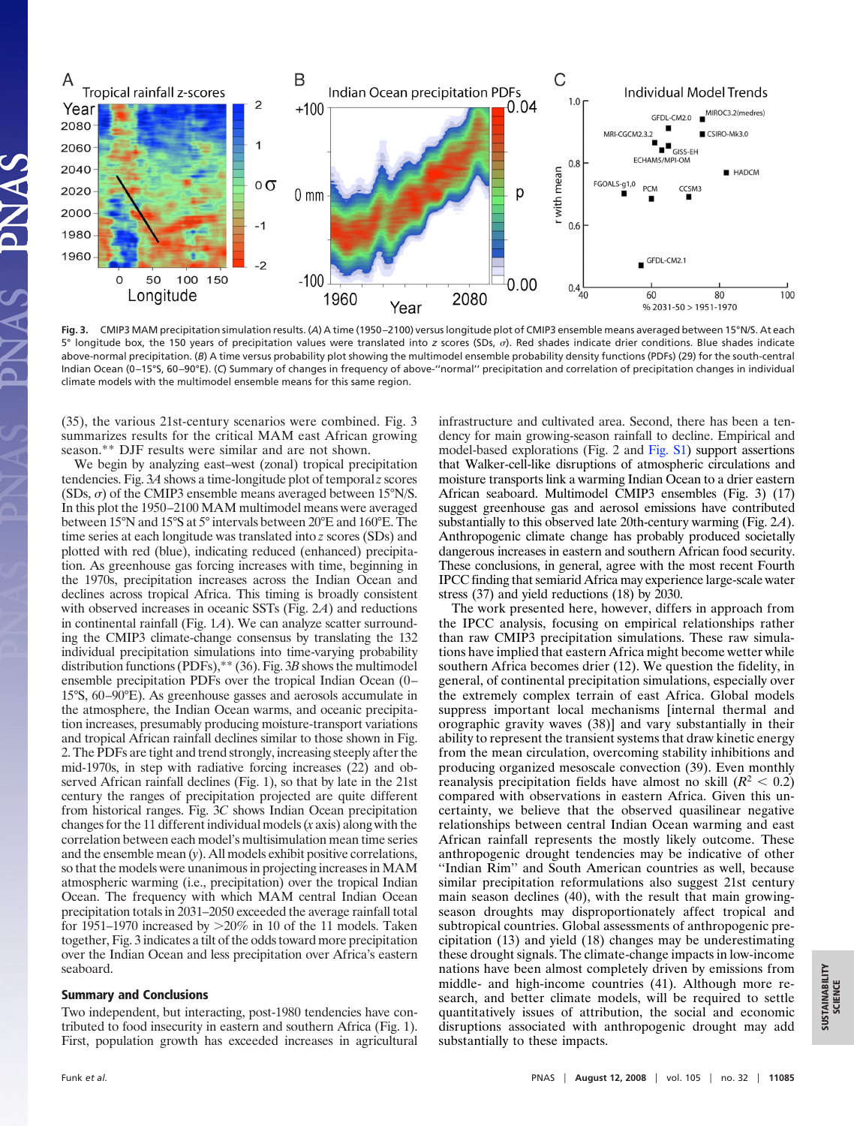

**Fig. 3.** CMIP3 MAM precipitation simulation results. (*A*) A time (1950 –2100) versus longitude plot of CMIP3 ensemble means averaged between 15°N/S. At each 5° longitude box, the 150 years of precipitation values were translated into *z* scores (SDs,  $\sigma$ ). Red shades indicate drier conditions. Blue shades indicate above-normal precipitation. (*B*) A time versus probability plot showing the multimodel ensemble probability density functions (PDFs) (29) for the south-central Indian Ocean (0 –15°S, 60 –90°E). (*C*) Summary of changes in frequency of above-''normal'' precipitation and correlation of precipitation changes in individual climate models with the multimodel ensemble means for this same region.

(35), the various 21st-century scenarios were combined. Fig. 3 summarizes results for the critical MAM east African growing season.\*\* DJF results were similar and are not shown.

We begin by analyzing east–west (zonal) tropical precipitation tendencies. Fig. 3*A* shows a time-longitude plot of temporal*z*scores  $(SDs, \sigma)$  of the CMIP3 ensemble means averaged between 15<sup>°</sup>N/S. In this plot the 1950–2100 MAM multimodel means were averaged between 15°N and 15°S at 5° intervals between 20°E and 160°E. The time series at each longitude was translated into *z* scores (SDs) and plotted with red (blue), indicating reduced (enhanced) precipitation. As greenhouse gas forcing increases with time, beginning in the 1970s, precipitation increases across the Indian Ocean and declines across tropical Africa. This timing is broadly consistent with observed increases in oceanic SSTs (Fig. 2*A*) and reductions in continental rainfall (Fig. 1*A*). We can analyze scatter surrounding the CMIP3 climate-change consensus by translating the 132 individual precipitation simulations into time-varying probability distribution functions (PDFs),\*\* (36). Fig. 3*B* shows the multimodel ensemble precipitation PDFs over the tropical Indian Ocean (0– 15°S, 60–90°E). As greenhouse gasses and aerosols accumulate in the atmosphere, the Indian Ocean warms, and oceanic precipitation increases, presumably producing moisture-transport variations and tropical African rainfall declines similar to those shown in Fig. 2. The PDFs are tight and trend strongly, increasing steeply after the mid-1970s, in step with radiative forcing increases (22) and observed African rainfall declines (Fig. 1), so that by late in the 21st century the ranges of precipitation projected are quite different from historical ranges. Fig. 3*C* shows Indian Ocean precipitation changes for the 11 different individual models (*x* axis) along with the correlation between each model's multisimulation mean time series and the ensemble mean (*y*). All models exhibit positive correlations, so that the models were unanimous in projecting increases in MAM atmospheric warming (i.e., precipitation) over the tropical Indian Ocean. The frequency with which MAM central Indian Ocean precipitation totals in 2031–2050 exceeded the average rainfall total for 1951–1970 increased by  $>20\%$  in 10 of the 11 models. Taken together, Fig. 3 indicates a tilt of the odds toward more precipitation over the Indian Ocean and less precipitation over Africa's eastern seaboard.

## Summary and Conclusions

Two independent, but interacting, post-1980 tendencies have contributed to food insecurity in eastern and southern Africa (Fig. 1). First, population growth has exceeded increases in agricultural infrastructure and cultivated area. Second, there has been a tendency for main growing-season rainfall to decline. Empirical and model-based explorations (Fig. 2 and [Fig. S1\)](http://www.pnas.org/cgi/data/0708196105/DCSupplemental/Supplemental_PDF#nameddest=SF1) support assertions that Walker-cell-like disruptions of atmospheric circulations and moisture transports link a warming Indian Ocean to a drier eastern African seaboard. Multimodel CMIP3 ensembles (Fig. 3) (17) suggest greenhouse gas and aerosol emissions have contributed substantially to this observed late 20th-century warming (Fig. 2*A*). Anthropogenic climate change has probably produced societally dangerous increases in eastern and southern African food security. These conclusions, in general, agree with the most recent Fourth IPCC finding that semiarid Africa may experience large-scale water stress (37) and yield reductions (18) by 2030.

The work presented here, however, differs in approach from the IPCC analysis, focusing on empirical relationships rather than raw CMIP3 precipitation simulations. These raw simulations have implied that eastern Africa might become wetter while southern Africa becomes drier (12). We question the fidelity, in general, of continental precipitation simulations, especially over the extremely complex terrain of east Africa. Global models suppress important local mechanisms [internal thermal and orographic gravity waves (38)] and vary substantially in their ability to represent the transient systems that draw kinetic energy from the mean circulation, overcoming stability inhibitions and producing organized mesoscale convection (39). Even monthly reanalysis precipitation fields have almost no skill  $(R^2 < 0.2)$ compared with observations in eastern Africa. Given this uncertainty, we believe that the observed quasilinear negative relationships between central Indian Ocean warming and east African rainfall represents the mostly likely outcome. These anthropogenic drought tendencies may be indicative of other "Indian Rim" and South American countries as well, because similar precipitation reformulations also suggest 21st century main season declines (40), with the result that main growingseason droughts may disproportionately affect tropical and subtropical countries. Global assessments of anthropogenic precipitation (13) and yield (18) changes may be underestimating these drought signals. The climate-change impacts in low-income nations have been almost completely driven by emissions from middle- and high-income countries (41). Although more research, and better climate models, will be required to settle quantitatively issues of attribution, the social and economic disruptions associated with anthropogenic drought may add substantially to these impacts.